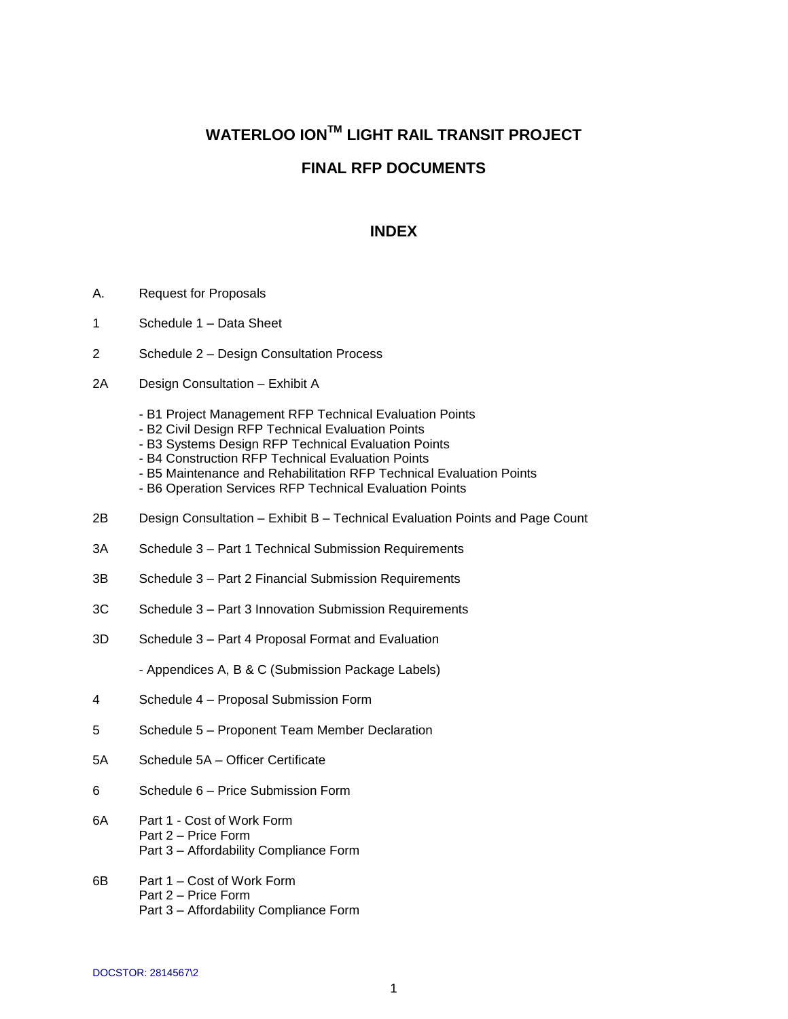## **WATERLOO IONTM LIGHT RAIL TRANSIT PROJECT**

## **FINAL RFP DOCUMENTS**

## **INDEX**

- A. Request for Proposals
- 1 Schedule 1 Data Sheet
- 2 Schedule 2 Design Consultation Process
- 2A Design Consultation Exhibit A
	- B1 Project Management RFP Technical Evaluation Points
	- B2 Civil Design RFP Technical Evaluation Points
	- B3 Systems Design RFP Technical Evaluation Points
	- B4 Construction RFP Technical Evaluation Points
	- B5 Maintenance and Rehabilitation RFP Technical Evaluation Points
	- B6 Operation Services RFP Technical Evaluation Points
- 2B Design Consultation Exhibit B Technical Evaluation Points and Page Count
- 3A Schedule 3 Part 1 Technical Submission Requirements
- 3B Schedule 3 Part 2 Financial Submission Requirements
- 3C Schedule 3 Part 3 Innovation Submission Requirements
- 3D Schedule 3 Part 4 Proposal Format and Evaluation

- Appendices A, B & C (Submission Package Labels)

- 4 Schedule 4 Proposal Submission Form
- 5 Schedule 5 Proponent Team Member Declaration
- 5A Schedule 5A Officer Certificate
- 6 Schedule 6 Price Submission Form
- 6A Part 1 Cost of Work Form Part 2 – Price Form Part 3 – Affordability Compliance Form
- 6B Part 1 Cost of Work Form Part 2 – Price Form Part 3 – Affordability Compliance Form